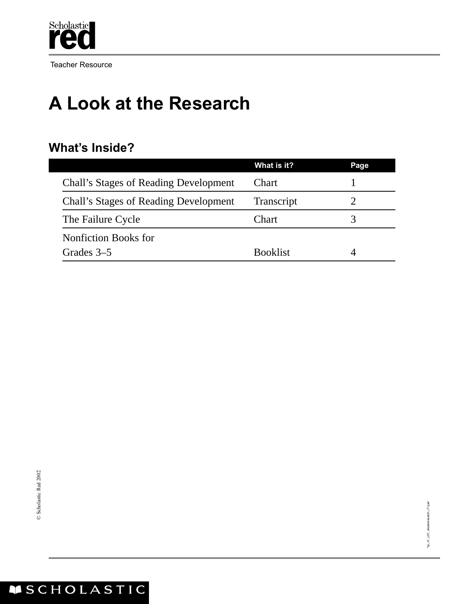

Teacher Resource

## **A Look at the Research**

#### **What's Inside?**

|                                       | What is it?     | Page |
|---------------------------------------|-----------------|------|
| Chall's Stages of Reading Development | Chart           |      |
| Chall's Stages of Reading Development | Transcript      |      |
| The Failure Cycle                     | Chart           |      |
| Nonfiction Books for                  |                 |      |
| Grades 3–5                            | <b>Booklist</b> |      |

#### ASCHOLASTIC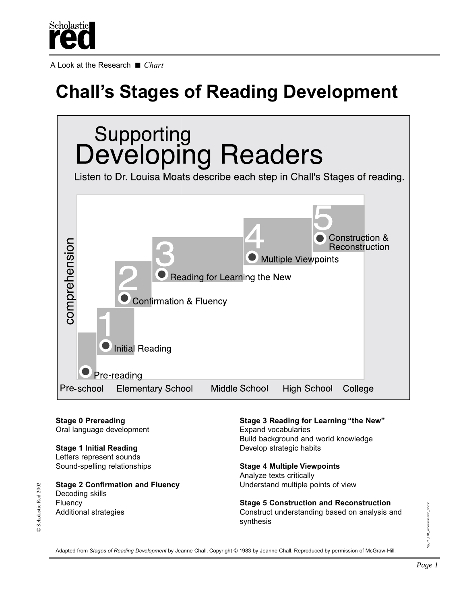

A Look at the Research ■ *Chart*

# **Chall's Stages of Reading Development**



Oral language development **Expand vocabularies** 

**Stage 1 Initial Reading Stage 1 Initial Reading** Letters represent sounds

**Stage 2 Confirmation and Fluency <b>Example 2 Confirmation and Fluency Understand multiple points of view** Decoding skills

**Stage 0 Prereading Stage 3 Reading for Learning "the New"** Build background and world knowledge

Sound-spelling relationships **Stage 4 Multiple Viewpoints** Analyze texts critically

Fluency **Stage 5 Construction and Reconstruction** Additional strategies Construct understanding based on analysis and synthesis

\*m\_c1\_L01\_alookresearch\_r7.qxc \*rp\_c1\_L01\_alookresearch\_r7.qxd

Adapted from *Stages of Reading Development* by Jeanne Chall. Copyright © 1983 by Jeanne Chall. Reproduced by permission of McGraw-Hill.

© Scholastic Red 2002

C Scholastic Red 2002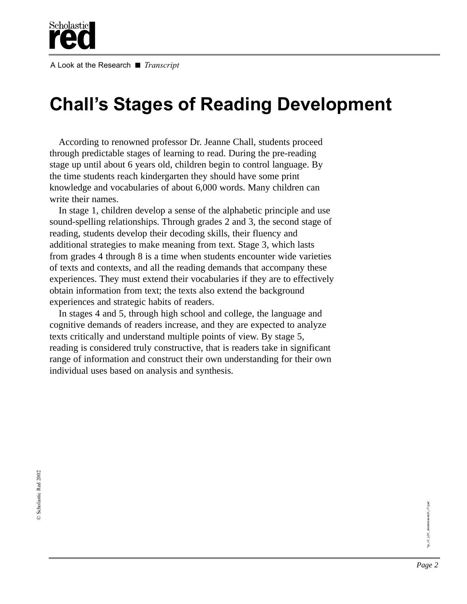

A Look at the Research ■ *Transcript*

### **Chall's Stages of Reading Development**

According to renowned professor Dr. Jeanne Chall, students proceed through predictable stages of learning to read. During the pre-reading stage up until about 6 years old, children begin to control language. By the time students reach kindergarten they should have some print knowledge and vocabularies of about 6,000 words. Many children can write their names.

In stage 1, children develop a sense of the alphabetic principle and use sound-spelling relationships. Through grades 2 and 3, the second stage of reading, students develop their decoding skills, their fluency and additional strategies to make meaning from text. Stage 3, which lasts from grades 4 through 8 is a time when students encounter wide varieties of texts and contexts, and all the reading demands that accompany these experiences. They must extend their vocabularies if they are to effectively obtain information from text; the texts also extend the background experiences and strategic habits of readers.

In stages 4 and 5, through high school and college, the language and cognitive demands of readers increase, and they are expected to analyze texts critically and understand multiple points of view. By stage 5, reading is considered truly constructive, that is readers take in significant range of information and construct their own understanding for their own individual uses based on analysis and synthesis.

"m\_c1\_L01\_alookresearch\_r7.qxd \*rp\_c1\_L01\_alookresearch\_r7.qxd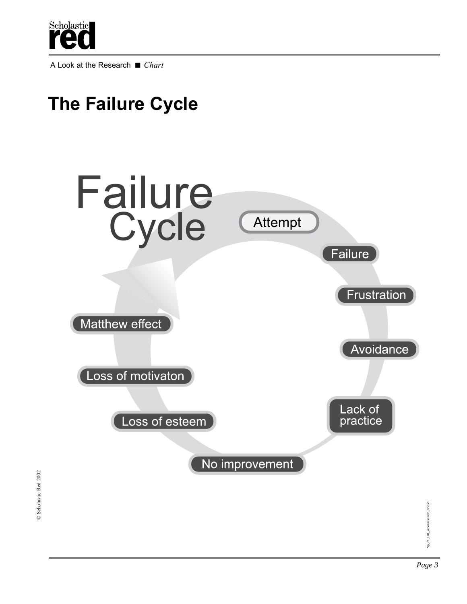

A Look at the Research ■ *Chart*



\*rp\_c1\_L01\_alookresearch\_r7.qxd